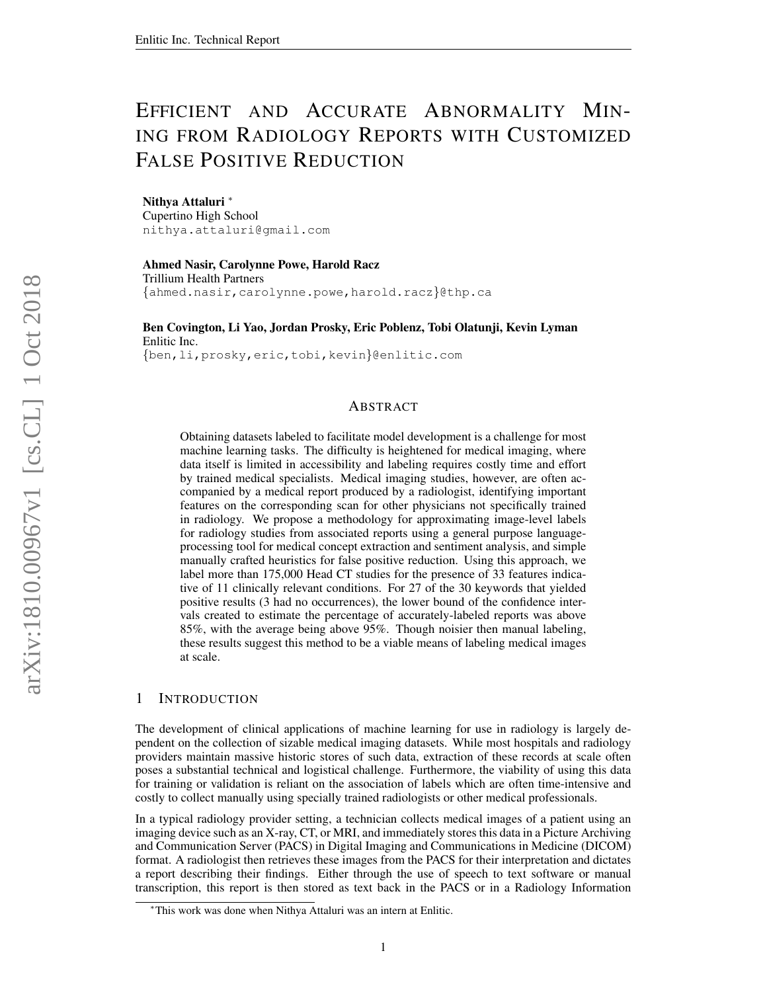# <span id="page-0-0"></span>EFFICIENT AND ACCURATE ABNORMALITY MIN-ING FROM RADIOLOGY REPORTS WITH CUSTOMIZED FALSE POSITIVE REDUCTION

Nithya Attaluri <sup>∗</sup> Cupertino High School nithya.attaluri@gmail.com

Ahmed Nasir, Carolynne Powe, Harold Racz Trillium Health Partners {ahmed.nasir,carolynne.powe,harold.racz}@thp.ca

Ben Covington, Li Yao, Jordan Prosky, Eric Poblenz, Tobi Olatunji, Kevin Lyman Enlitic Inc. {ben,li,prosky,eric,tobi,kevin}@enlitic.com

# ABSTRACT

Obtaining datasets labeled to facilitate model development is a challenge for most machine learning tasks. The difficulty is heightened for medical imaging, where data itself is limited in accessibility and labeling requires costly time and effort by trained medical specialists. Medical imaging studies, however, are often accompanied by a medical report produced by a radiologist, identifying important features on the corresponding scan for other physicians not specifically trained in radiology. We propose a methodology for approximating image-level labels for radiology studies from associated reports using a general purpose languageprocessing tool for medical concept extraction and sentiment analysis, and simple manually crafted heuristics for false positive reduction. Using this approach, we label more than 175,000 Head CT studies for the presence of 33 features indicative of 11 clinically relevant conditions. For 27 of the 30 keywords that yielded positive results (3 had no occurrences), the lower bound of the confidence intervals created to estimate the percentage of accurately-labeled reports was above 85%, with the average being above 95%. Though noisier then manual labeling, these results suggest this method to be a viable means of labeling medical images at scale.

# 1 INTRODUCTION

The development of clinical applications of machine learning for use in radiology is largely dependent on the collection of sizable medical imaging datasets. While most hospitals and radiology providers maintain massive historic stores of such data, extraction of these records at scale often poses a substantial technical and logistical challenge. Furthermore, the viability of using this data for training or validation is reliant on the association of labels which are often time-intensive and costly to collect manually using specially trained radiologists or other medical professionals.

In a typical radiology provider setting, a technician collects medical images of a patient using an imaging device such as an X-ray, CT, or MRI, and immediately stores this data in a Picture Archiving and Communication Server (PACS) in Digital Imaging and Communications in Medicine (DICOM) format. A radiologist then retrieves these images from the PACS for their interpretation and dictates a report describing their findings. Either through the use of speech to text software or manual transcription, this report is then stored as text back in the PACS or in a Radiology Information

<sup>∗</sup>This work was done when Nithya Attaluri was an intern at Enlitic.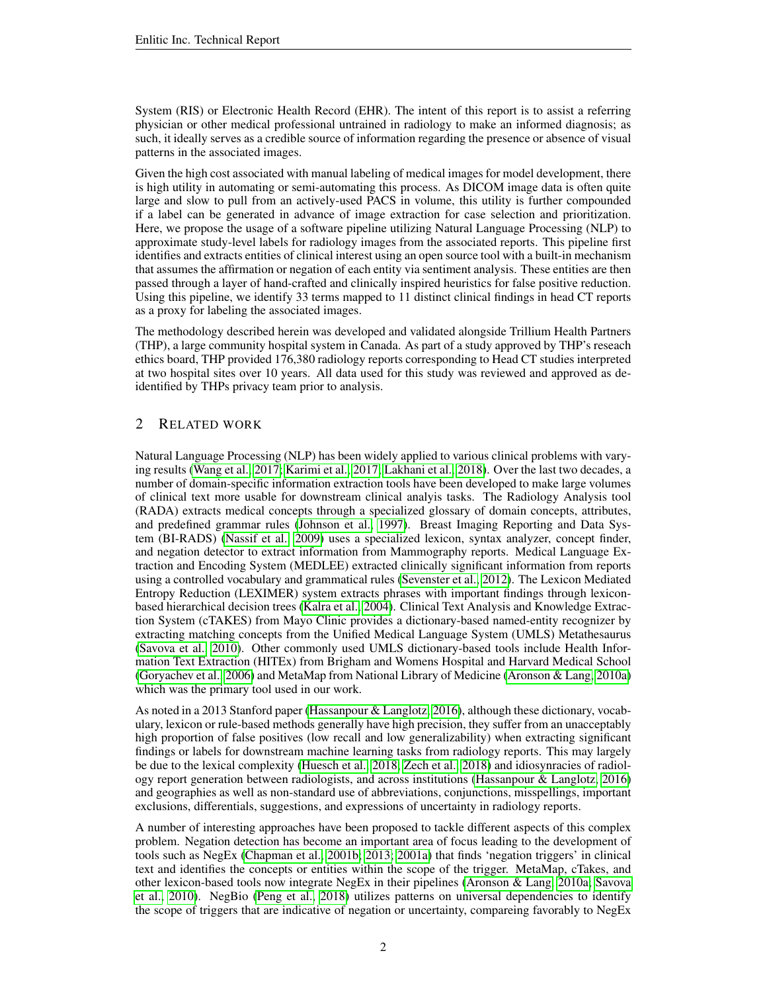System (RIS) or Electronic Health Record (EHR). The intent of this report is to assist a referring physician or other medical professional untrained in radiology to make an informed diagnosis; as such, it ideally serves as a credible source of information regarding the presence or absence of visual patterns in the associated images.

Given the high cost associated with manual labeling of medical images for model development, there is high utility in automating or semi-automating this process. As DICOM image data is often quite large and slow to pull from an actively-used PACS in volume, this utility is further compounded if a label can be generated in advance of image extraction for case selection and prioritization. Here, we propose the usage of a software pipeline utilizing Natural Language Processing (NLP) to approximate study-level labels for radiology images from the associated reports. This pipeline first identifies and extracts entities of clinical interest using an open source tool with a built-in mechanism that assumes the affirmation or negation of each entity via sentiment analysis. These entities are then passed through a layer of hand-crafted and clinically inspired heuristics for false positive reduction. Using this pipeline, we identify 33 terms mapped to 11 distinct clinical findings in head CT reports as a proxy for labeling the associated images.

The methodology described herein was developed and validated alongside Trillium Health Partners (THP), a large community hospital system in Canada. As part of a study approved by THP's reseach ethics board, THP provided 176,380 radiology reports corresponding to Head CT studies interpreted at two hospital sites over 10 years. All data used for this study was reviewed and approved as deidentified by THPs privacy team prior to analysis.

# 2 RELATED WORK

Natural Language Processing (NLP) has been widely applied to various clinical problems with varying results [\(Wang et al., 2017;](#page-12-0) [Karimi et al., 2017;](#page-11-0) [Lakhani et al., 2018\)](#page-11-1). Over the last two decades, a number of domain-specific information extraction tools have been developed to make large volumes of clinical text more usable for downstream clinical analyis tasks. The Radiology Analysis tool (RADA) extracts medical concepts through a specialized glossary of domain concepts, attributes, and predefined grammar rules [\(Johnson et al., 1997\)](#page-11-2). Breast Imaging Reporting and Data System (BI-RADS) [\(Nassif et al., 2009\)](#page-12-1) uses a specialized lexicon, syntax analyzer, concept finder, and negation detector to extract information from Mammography reports. Medical Language Extraction and Encoding System (MEDLEE) extracted clinically significant information from reports using a controlled vocabulary and grammatical rules [\(Sevenster et al., 2012\)](#page-12-2). The Lexicon Mediated Entropy Reduction (LEXIMER) system extracts phrases with important findings through lexiconbased hierarchical decision trees [\(Kalra et al., 2004\)](#page-11-3). Clinical Text Analysis and Knowledge Extraction System (cTAKES) from Mayo Clinic provides a dictionary-based named-entity recognizer by extracting matching concepts from the Unified Medical Language System (UMLS) Metathesaurus [\(Savova et al., 2010\)](#page-12-3). Other commonly used UMLS dictionary-based tools include Health Information Text Extraction (HITEx) from Brigham and Womens Hospital and Harvard Medical School [\(Goryachev et al., 2006\)](#page-11-4) and MetaMap from National Library of Medicine [\(Aronson & Lang, 2010a\)](#page-10-0) which was the primary tool used in our work.

As noted in a 2013 Stanford paper [\(Hassanpour & Langlotz, 2016\)](#page-11-5), although these dictionary, vocabulary, lexicon or rule-based methods generally have high precision, they suffer from an unacceptably high proportion of false positives (low recall and low generalizability) when extracting significant findings or labels for downstream machine learning tasks from radiology reports. This may largely be due to the lexical complexity [\(Huesch et al., 2018;](#page-11-6) [Zech et al., 2018\)](#page-12-4) and idiosynracies of radiology report generation between radiologists, and across institutions [\(Hassanpour & Langlotz, 2016\)](#page-11-5) and geographies as well as non-standard use of abbreviations, conjunctions, misspellings, important exclusions, differentials, suggestions, and expressions of uncertainty in radiology reports.

A number of interesting approaches have been proposed to tackle different aspects of this complex problem. Negation detection has become an important area of focus leading to the development of tools such as NegEx [\(Chapman et al., 2001b;](#page-11-7) [2013;](#page-11-8) [2001a\)](#page-10-1) that finds 'negation triggers' in clinical text and identifies the concepts or entities within the scope of the trigger. MetaMap, cTakes, and other lexicon-based tools now integrate NegEx in their pipelines [\(Aronson & Lang, 2010a;](#page-10-0) [Savova](#page-12-3) [et al., 2010\)](#page-12-3). NegBio [\(Peng et al., 2018\)](#page-12-5) utilizes patterns on universal dependencies to identify the scope of triggers that are indicative of negation or uncertainty, compareing favorably to NegEx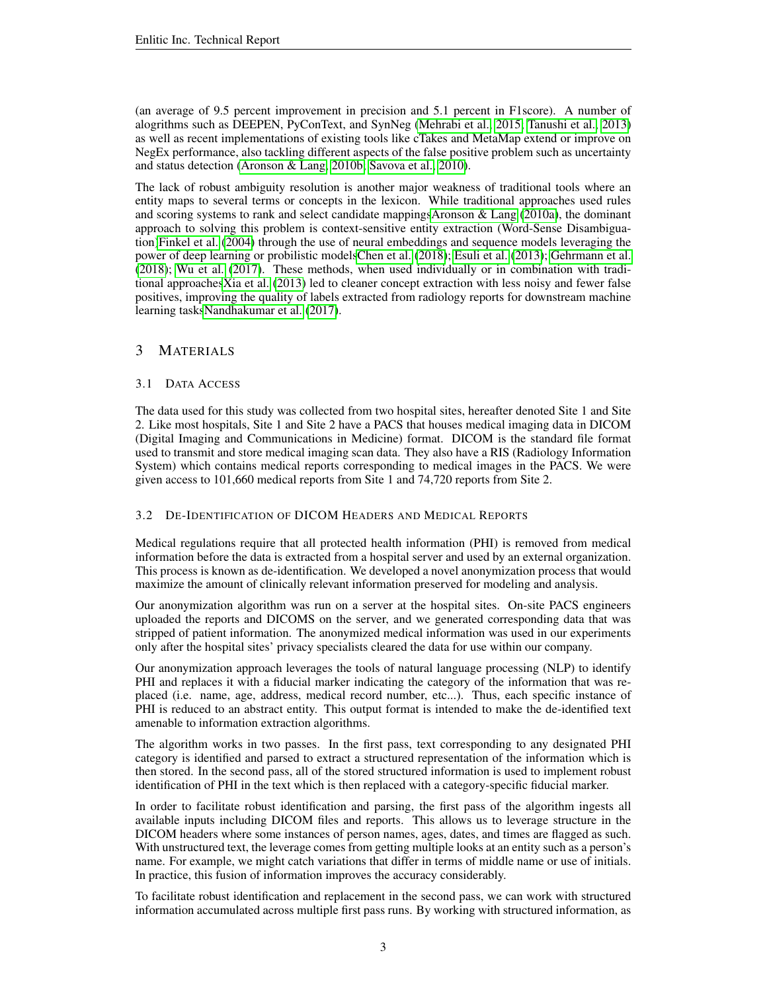(an average of 9.5 percent improvement in precision and 5.1 percent in F1score). A number of alogrithms such as DEEPEN, PyConText, and SynNeg [\(Mehrabi et al., 2015;](#page-11-9) [Tanushi et al., 2013\)](#page-12-6) as well as recent implementations of existing tools like cTakes and MetaMap extend or improve on NegEx performance, also tackling different aspects of the false positive problem such as uncertainty and status detection [\(Aronson & Lang, 2010b;](#page-10-2) [Savova et al., 2010\)](#page-12-3).

The lack of robust ambiguity resolution is another major weakness of traditional tools where an entity maps to several terms or concepts in the lexicon. While traditional approaches used rules and scoring systems to rank and select candidate mappingsAronson  $\&$  Lang [\(2010a\)](#page-10-0), the dominant approach to solving this problem is context-sensitive entity extraction (Word-Sense Disambiguation[\)Finkel et al.](#page-11-10) [\(2004\)](#page-11-10) through the use of neural embeddings and sequence models leveraging the power of deep learning or probilistic model[sChen et al.](#page-11-11) [\(2018\)](#page-11-11); [Esuli et al.](#page-11-12) [\(2013\)](#page-11-12); [Gehrmann et al.](#page-11-13) [\(2018\)](#page-11-13); [Wu et al.](#page-12-7) [\(2017\)](#page-12-7). These methods, when used individually or in combination with traditional approache[sXia et al.](#page-12-8) [\(2013\)](#page-12-8) led to cleaner concept extraction with less noisy and fewer false positives, improving the quality of labels extracted from radiology reports for downstream machine learning task[sNandhakumar et al.](#page-12-9) [\(2017\)](#page-12-9).

# 3 MATERIALS

# 3.1 DATA ACCESS

The data used for this study was collected from two hospital sites, hereafter denoted Site 1 and Site 2. Like most hospitals, Site 1 and Site 2 have a PACS that houses medical imaging data in DICOM (Digital Imaging and Communications in Medicine) format. DICOM is the standard file format used to transmit and store medical imaging scan data. They also have a RIS (Radiology Information System) which contains medical reports corresponding to medical images in the PACS. We were given access to 101,660 medical reports from Site 1 and 74,720 reports from Site 2.

## 3.2 DE-IDENTIFICATION OF DICOM HEADERS AND MEDICAL REPORTS

Medical regulations require that all protected health information (PHI) is removed from medical information before the data is extracted from a hospital server and used by an external organization. This process is known as de-identification. We developed a novel anonymization process that would maximize the amount of clinically relevant information preserved for modeling and analysis.

Our anonymization algorithm was run on a server at the hospital sites. On-site PACS engineers uploaded the reports and DICOMS on the server, and we generated corresponding data that was stripped of patient information. The anonymized medical information was used in our experiments only after the hospital sites' privacy specialists cleared the data for use within our company.

Our anonymization approach leverages the tools of natural language processing (NLP) to identify PHI and replaces it with a fiducial marker indicating the category of the information that was replaced (i.e. name, age, address, medical record number, etc...). Thus, each specific instance of PHI is reduced to an abstract entity. This output format is intended to make the de-identified text amenable to information extraction algorithms.

The algorithm works in two passes. In the first pass, text corresponding to any designated PHI category is identified and parsed to extract a structured representation of the information which is then stored. In the second pass, all of the stored structured information is used to implement robust identification of PHI in the text which is then replaced with a category-specific fiducial marker.

In order to facilitate robust identification and parsing, the first pass of the algorithm ingests all available inputs including DICOM files and reports. This allows us to leverage structure in the DICOM headers where some instances of person names, ages, dates, and times are flagged as such. With unstructured text, the leverage comes from getting multiple looks at an entity such as a person's name. For example, we might catch variations that differ in terms of middle name or use of initials. In practice, this fusion of information improves the accuracy considerably.

To facilitate robust identification and replacement in the second pass, we can work with structured information accumulated across multiple first pass runs. By working with structured information, as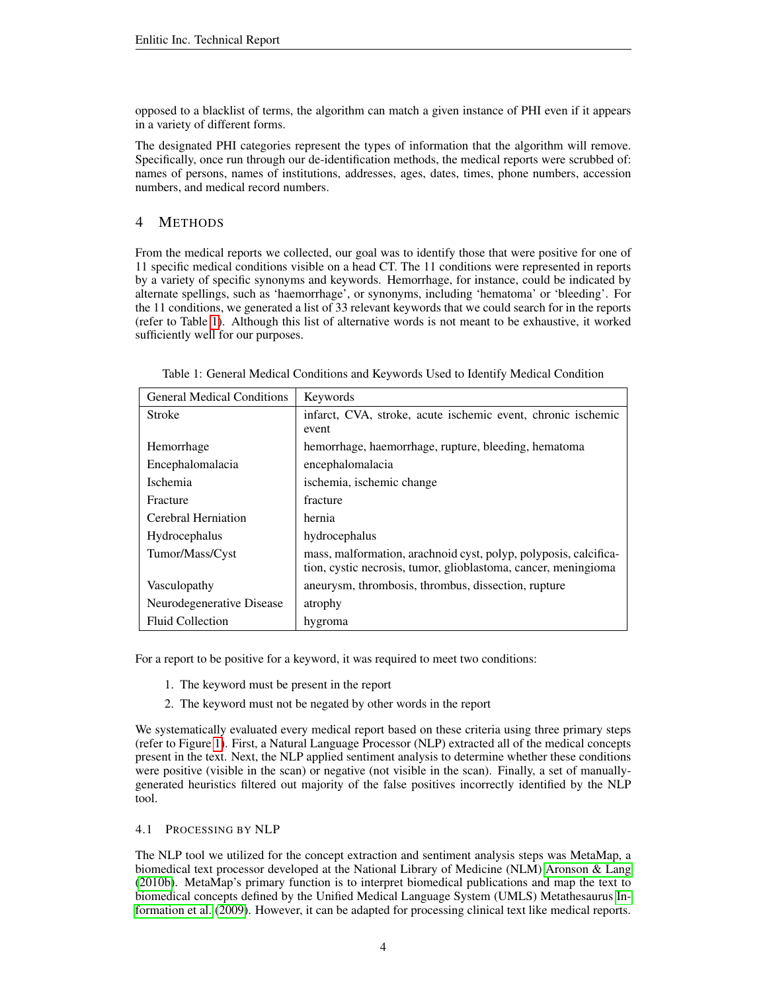opposed to a blacklist of terms, the algorithm can match a given instance of PHI even if it appears in a variety of different forms.

The designated PHI categories represent the types of information that the algorithm will remove. Specifically, once run through our de-identification methods, the medical reports were scrubbed of: names of persons, names of institutions, addresses, ages, dates, times, phone numbers, accession numbers, and medical record numbers.

# 4 METHODS

From the medical reports we collected, our goal was to identify those that were positive for one of 11 specific medical conditions visible on a head CT. The 11 conditions were represented in reports by a variety of specific synonyms and keywords. Hemorrhage, for instance, could be indicated by alternate spellings, such as 'haemorrhage', or synonyms, including 'hematoma' or 'bleeding'. For the 11 conditions, we generated a list of 33 relevant keywords that we could search for in the reports (refer to Table [1\)](#page-3-0). Although this list of alternative words is not meant to be exhaustive, it worked sufficiently well for our purposes.

| <b>General Medical Conditions</b> | Keywords                                                                                                                           |
|-----------------------------------|------------------------------------------------------------------------------------------------------------------------------------|
| Stroke                            | infarct, CVA, stroke, acute ischemic event, chronic ischemic<br>event                                                              |
| Hemorrhage                        | hemorrhage, haemorrhage, rupture, bleeding, hematoma                                                                               |
| Encephalomalacia                  | encephalomalacia                                                                                                                   |
| <i>Ischemia</i>                   | ischemia, ischemic change                                                                                                          |
| Fracture                          | fracture                                                                                                                           |
| Cerebral Herniation               | hernia                                                                                                                             |
| Hydrocephalus                     | hydrocephalus                                                                                                                      |
| Tumor/Mass/Cyst                   | mass, malformation, arachnoid cyst, polyp, polyposis, calcifica-<br>tion, cystic necrosis, tumor, glioblastoma, cancer, meningioma |
| Vasculopathy                      | aneurysm, thrombosis, thrombus, dissection, rupture                                                                                |
| Neurodegenerative Disease         | atrophy                                                                                                                            |
| <b>Fluid Collection</b>           | hygroma                                                                                                                            |

<span id="page-3-0"></span>

| Table 1: General Medical Conditions and Keywords Used to Identify Medical Condition |  |
|-------------------------------------------------------------------------------------|--|
|-------------------------------------------------------------------------------------|--|

For a report to be positive for a keyword, it was required to meet two conditions:

- 1. The keyword must be present in the report
- 2. The keyword must not be negated by other words in the report

We systematically evaluated every medical report based on these criteria using three primary steps (refer to Figure [1\)](#page-4-0). First, a Natural Language Processor (NLP) extracted all of the medical concepts present in the text. Next, the NLP applied sentiment analysis to determine whether these conditions were positive (visible in the scan) or negative (not visible in the scan). Finally, a set of manuallygenerated heuristics filtered out majority of the false positives incorrectly identified by the NLP tool.

# <span id="page-3-1"></span>4.1 PROCESSING BY NLP

The NLP tool we utilized for the concept extraction and sentiment analysis steps was MetaMap, a biomedical text processor developed at the National Library of Medicine (NLM) [Aronson & Lang](#page-10-2) [\(2010b\)](#page-10-2). MetaMap's primary function is to interpret biomedical publications and map the text to biomedical concepts defined by the Unified Medical Language System (UMLS) Metathesaurus [In](#page-11-14)[formation et al.](#page-11-14) [\(2009\)](#page-11-14). However, it can be adapted for processing clinical text like medical reports.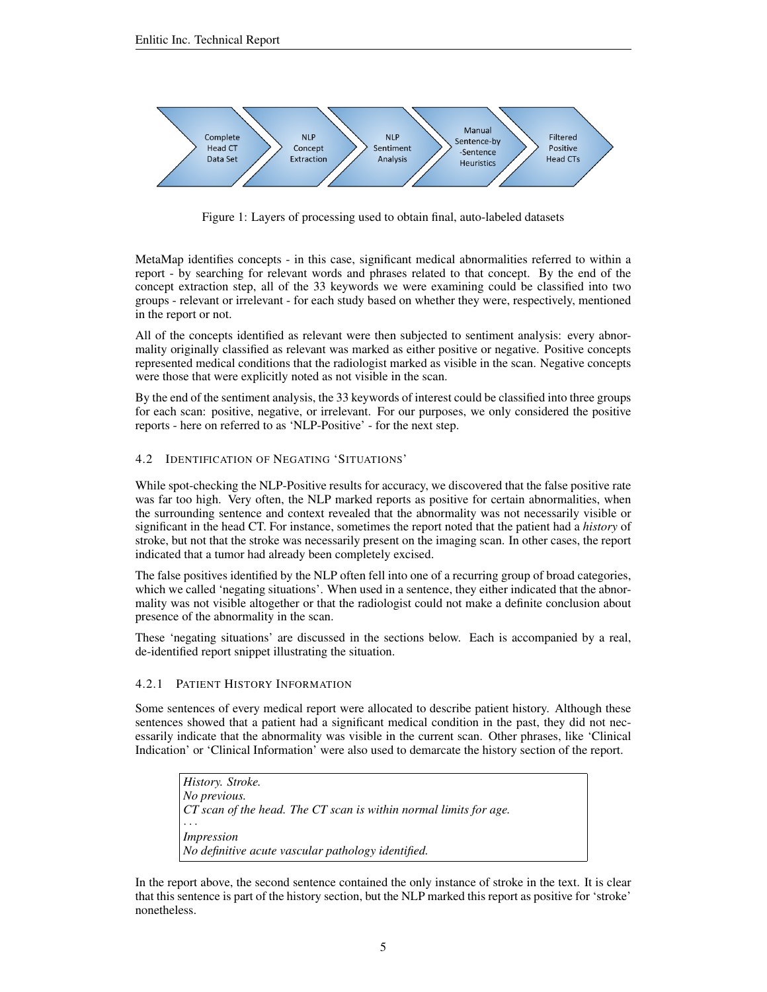

<span id="page-4-0"></span>Figure 1: Layers of processing used to obtain final, auto-labeled datasets

MetaMap identifies concepts - in this case, significant medical abnormalities referred to within a report - by searching for relevant words and phrases related to that concept. By the end of the concept extraction step, all of the 33 keywords we were examining could be classified into two groups - relevant or irrelevant - for each study based on whether they were, respectively, mentioned in the report or not.

All of the concepts identified as relevant were then subjected to sentiment analysis: every abnormality originally classified as relevant was marked as either positive or negative. Positive concepts represented medical conditions that the radiologist marked as visible in the scan. Negative concepts were those that were explicitly noted as not visible in the scan.

By the end of the sentiment analysis, the 33 keywords of interest could be classified into three groups for each scan: positive, negative, or irrelevant. For our purposes, we only considered the positive reports - here on referred to as 'NLP-Positive' - for the next step.

## 4.2 IDENTIFICATION OF NEGATING 'SITUATIONS'

While spot-checking the NLP-Positive results for accuracy, we discovered that the false positive rate was far too high. Very often, the NLP marked reports as positive for certain abnormalities, when the surrounding sentence and context revealed that the abnormality was not necessarily visible or significant in the head CT. For instance, sometimes the report noted that the patient had a *history* of stroke, but not that the stroke was necessarily present on the imaging scan. In other cases, the report indicated that a tumor had already been completely excised.

The false positives identified by the NLP often fell into one of a recurring group of broad categories, which we called 'negating situations'. When used in a sentence, they either indicated that the abnormality was not visible altogether or that the radiologist could not make a definite conclusion about presence of the abnormality in the scan.

These 'negating situations' are discussed in the sections below. Each is accompanied by a real, de-identified report snippet illustrating the situation.

#### 4.2.1 PATIENT HISTORY INFORMATION

Some sentences of every medical report were allocated to describe patient history. Although these sentences showed that a patient had a significant medical condition in the past, they did not necessarily indicate that the abnormality was visible in the current scan. Other phrases, like 'Clinical Indication' or 'Clinical Information' were also used to demarcate the history section of the report.

*History. Stroke. No previous. CT scan of the head. The CT scan is within normal limits for age.* · · · *Impression No definitive acute vascular pathology identified.*

In the report above, the second sentence contained the only instance of stroke in the text. It is clear that this sentence is part of the history section, but the NLP marked this report as positive for 'stroke' nonetheless.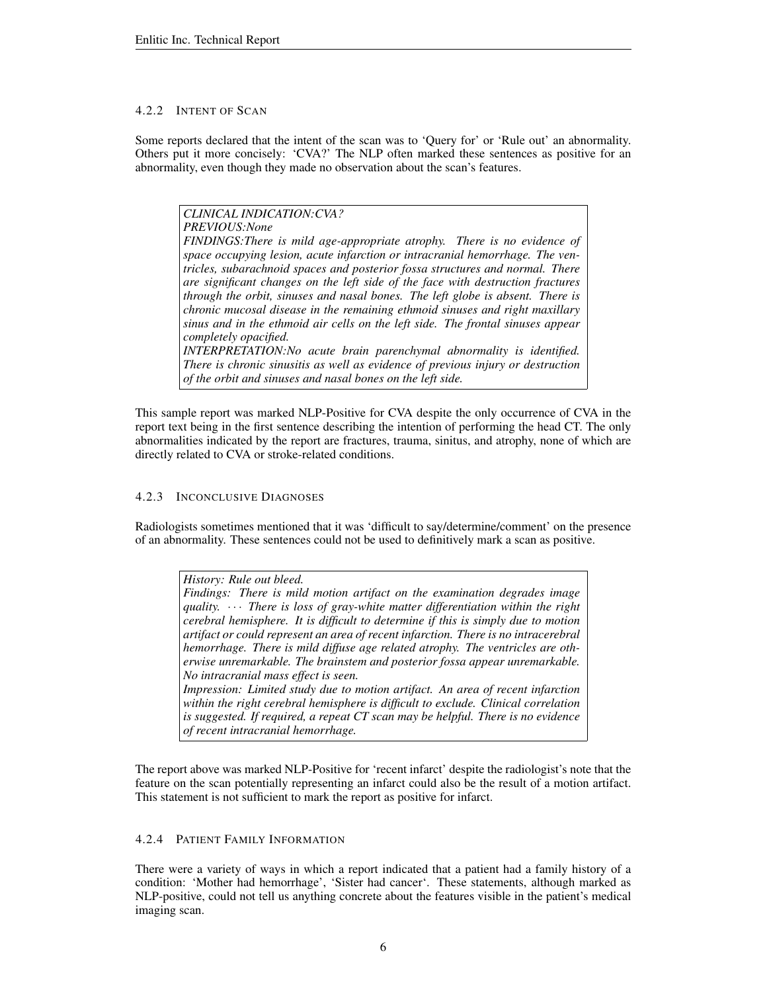#### 4.2.2 INTENT OF SCAN

Some reports declared that the intent of the scan was to 'Query for' or 'Rule out' an abnormality. Others put it more concisely: 'CVA?' The NLP often marked these sentences as positive for an abnormality, even though they made no observation about the scan's features.

*CLINICAL INDICATION:CVA? PREVIOUS:None FINDINGS:There is mild age-appropriate atrophy. There is no evidence of space occupying lesion, acute infarction or intracranial hemorrhage. The ventricles, subarachnoid spaces and posterior fossa structures and normal. There are significant changes on the left side of the face with destruction fractures through the orbit, sinuses and nasal bones. The left globe is absent. There is chronic mucosal disease in the remaining ethmoid sinuses and right maxillary sinus and in the ethmoid air cells on the left side. The frontal sinuses appear completely opacified. INTERPRETATION:No acute brain parenchymal abnormality is identified. There is chronic sinusitis as well as evidence of previous injury or destruction of the orbit and sinuses and nasal bones on the left side.*

This sample report was marked NLP-Positive for CVA despite the only occurrence of CVA in the report text being in the first sentence describing the intention of performing the head CT. The only abnormalities indicated by the report are fractures, trauma, sinitus, and atrophy, none of which are directly related to CVA or stroke-related conditions.

#### 4.2.3 INCONCLUSIVE DIAGNOSES

Radiologists sometimes mentioned that it was 'difficult to say/determine/comment' on the presence of an abnormality. These sentences could not be used to definitively mark a scan as positive.

*History: Rule out bleed. Findings: There is mild motion artifact on the examination degrades image quality.* · · · *There is loss of gray-white matter differentiation within the right cerebral hemisphere. It is difficult to determine if this is simply due to motion artifact or could represent an area of recent infarction. There is no intracerebral hemorrhage. There is mild diffuse age related atrophy. The ventricles are otherwise unremarkable. The brainstem and posterior fossa appear unremarkable. No intracranial mass effect is seen. Impression: Limited study due to motion artifact. An area of recent infarction within the right cerebral hemisphere is difficult to exclude. Clinical correlation is suggested. If required, a repeat CT scan may be helpful. There is no evidence*

*of recent intracranial hemorrhage.*

The report above was marked NLP-Positive for 'recent infarct' despite the radiologist's note that the feature on the scan potentially representing an infarct could also be the result of a motion artifact. This statement is not sufficient to mark the report as positive for infarct.

#### 4.2.4 PATIENT FAMILY INFORMATION

There were a variety of ways in which a report indicated that a patient had a family history of a condition: 'Mother had hemorrhage', 'Sister had cancer'. These statements, although marked as NLP-positive, could not tell us anything concrete about the features visible in the patient's medical imaging scan.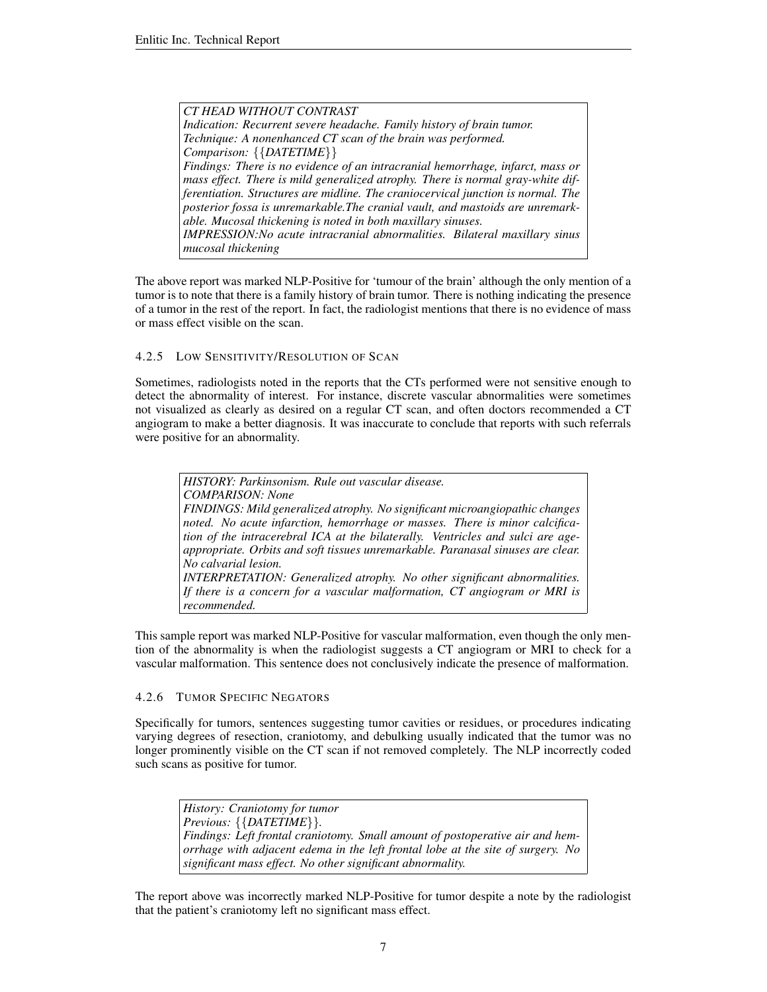*CT HEAD WITHOUT CONTRAST Indication: Recurrent severe headache. Family history of brain tumor. Technique: A nonenhanced CT scan of the brain was performed. Comparison:* {{*DATETIME*}} *Findings: There is no evidence of an intracranial hemorrhage, infarct, mass or mass effect. There is mild generalized atrophy. There is normal gray-white differentiation. Structures are midline. The craniocervical junction is normal. The posterior fossa is unremarkable.The cranial vault, and mastoids are unremarkable. Mucosal thickening is noted in both maxillary sinuses. IMPRESSION:No acute intracranial abnormalities. Bilateral maxillary sinus mucosal thickening*

The above report was marked NLP-Positive for 'tumour of the brain' although the only mention of a tumor is to note that there is a family history of brain tumor. There is nothing indicating the presence of a tumor in the rest of the report. In fact, the radiologist mentions that there is no evidence of mass or mass effect visible on the scan.

#### 4.2.5 LOW SENSITIVITY/RESOLUTION OF SCAN

Sometimes, radiologists noted in the reports that the CTs performed were not sensitive enough to detect the abnormality of interest. For instance, discrete vascular abnormalities were sometimes not visualized as clearly as desired on a regular CT scan, and often doctors recommended a CT angiogram to make a better diagnosis. It was inaccurate to conclude that reports with such referrals were positive for an abnormality.

*HISTORY: Parkinsonism. Rule out vascular disease. COMPARISON: None FINDINGS: Mild generalized atrophy. No significant microangiopathic changes noted. No acute infarction, hemorrhage or masses. There is minor calcification of the intracerebral ICA at the bilaterally. Ventricles and sulci are ageappropriate. Orbits and soft tissues unremarkable. Paranasal sinuses are clear. No calvarial lesion. INTERPRETATION: Generalized atrophy. No other significant abnormalities. If there is a concern for a vascular malformation, CT angiogram or MRI is recommended.*

This sample report was marked NLP-Positive for vascular malformation, even though the only mention of the abnormality is when the radiologist suggests a CT angiogram or MRI to check for a vascular malformation. This sentence does not conclusively indicate the presence of malformation.

### 4.2.6 TUMOR SPECIFIC NEGATORS

Specifically for tumors, sentences suggesting tumor cavities or residues, or procedures indicating varying degrees of resection, craniotomy, and debulking usually indicated that the tumor was no longer prominently visible on the CT scan if not removed completely. The NLP incorrectly coded such scans as positive for tumor.

*History: Craniotomy for tumor Previous:* {{*DATETIME*}}*. Findings: Left frontal craniotomy. Small amount of postoperative air and hemorrhage with adjacent edema in the left frontal lobe at the site of surgery. No significant mass effect. No other significant abnormality.*

The report above was incorrectly marked NLP-Positive for tumor despite a note by the radiologist that the patient's craniotomy left no significant mass effect.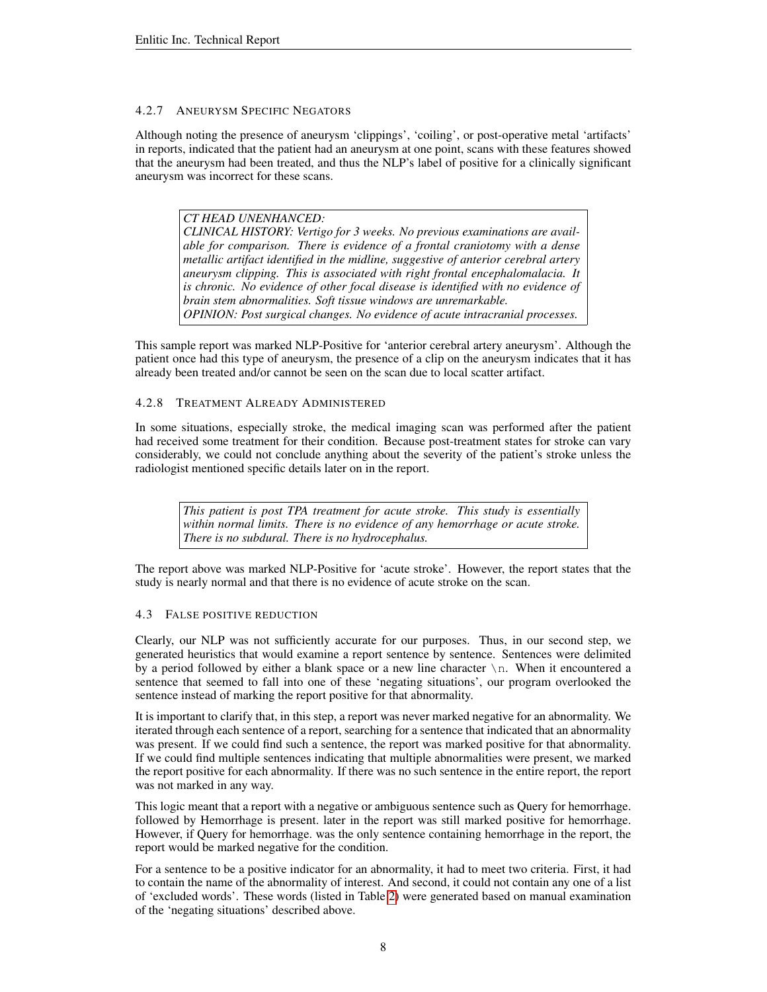# 4.2.7 ANEURYSM SPECIFIC NEGATORS

Although noting the presence of aneurysm 'clippings', 'coiling', or post-operative metal 'artifacts' in reports, indicated that the patient had an aneurysm at one point, scans with these features showed that the aneurysm had been treated, and thus the NLP's label of positive for a clinically significant aneurysm was incorrect for these scans.

*CT HEAD UNENHANCED: CLINICAL HISTORY: Vertigo for 3 weeks. No previous examinations are available for comparison. There is evidence of a frontal craniotomy with a dense metallic artifact identified in the midline, suggestive of anterior cerebral artery aneurysm clipping. This is associated with right frontal encephalomalacia. It is chronic. No evidence of other focal disease is identified with no evidence of brain stem abnormalities. Soft tissue windows are unremarkable. OPINION: Post surgical changes. No evidence of acute intracranial processes.*

This sample report was marked NLP-Positive for 'anterior cerebral artery aneurysm'. Although the patient once had this type of aneurysm, the presence of a clip on the aneurysm indicates that it has already been treated and/or cannot be seen on the scan due to local scatter artifact.

# 4.2.8 TREATMENT ALREADY ADMINISTERED

In some situations, especially stroke, the medical imaging scan was performed after the patient had received some treatment for their condition. Because post-treatment states for stroke can vary considerably, we could not conclude anything about the severity of the patient's stroke unless the radiologist mentioned specific details later on in the report.

*This patient is post TPA treatment for acute stroke. This study is essentially within normal limits. There is no evidence of any hemorrhage or acute stroke. There is no subdural. There is no hydrocephalus.*

The report above was marked NLP-Positive for 'acute stroke'. However, the report states that the study is nearly normal and that there is no evidence of acute stroke on the scan.

## <span id="page-7-0"></span>4.3 FALSE POSITIVE REDUCTION

Clearly, our NLP was not sufficiently accurate for our purposes. Thus, in our second step, we generated heuristics that would examine a report sentence by sentence. Sentences were delimited by a period followed by either a blank space or a new line character  $\ln$ . When it encountered a sentence that seemed to fall into one of these 'negating situations', our program overlooked the sentence instead of marking the report positive for that abnormality.

It is important to clarify that, in this step, a report was never marked negative for an abnormality. We iterated through each sentence of a report, searching for a sentence that indicated that an abnormality was present. If we could find such a sentence, the report was marked positive for that abnormality. If we could find multiple sentences indicating that multiple abnormalities were present, we marked the report positive for each abnormality. If there was no such sentence in the entire report, the report was not marked in any way.

This logic meant that a report with a negative or ambiguous sentence such as Query for hemorrhage. followed by Hemorrhage is present. later in the report was still marked positive for hemorrhage. However, if Query for hemorrhage. was the only sentence containing hemorrhage in the report, the report would be marked negative for the condition.

For a sentence to be a positive indicator for an abnormality, it had to meet two criteria. First, it had to contain the name of the abnormality of interest. And second, it could not contain any one of a list of 'excluded words'. These words (listed in Table [2\)](#page-8-0) were generated based on manual examination of the 'negating situations' described above.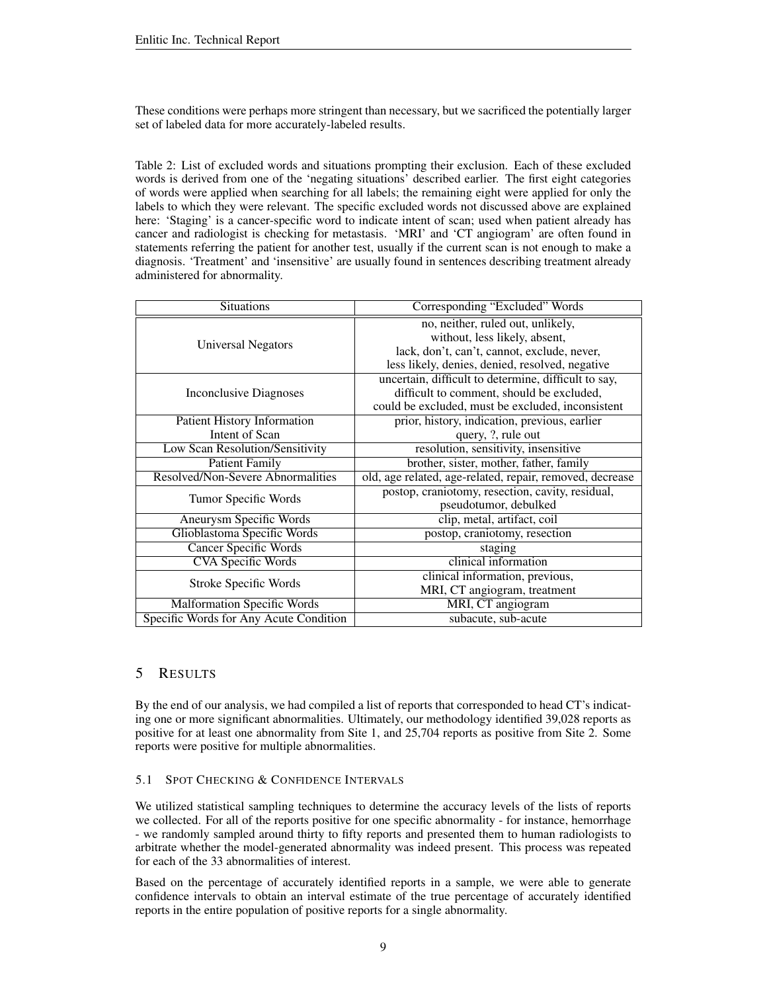These conditions were perhaps more stringent than necessary, but we sacrificed the potentially larger set of labeled data for more accurately-labeled results.

<span id="page-8-0"></span>Table 2: List of excluded words and situations prompting their exclusion. Each of these excluded words is derived from one of the 'negating situations' described earlier. The first eight categories of words were applied when searching for all labels; the remaining eight were applied for only the labels to which they were relevant. The specific excluded words not discussed above are explained here: 'Staging' is a cancer-specific word to indicate intent of scan; used when patient already has cancer and radiologist is checking for metastasis. 'MRI' and 'CT angiogram' are often found in statements referring the patient for another test, usually if the current scan is not enough to make a diagnosis. 'Treatment' and 'insensitive' are usually found in sentences describing treatment already administered for abnormality.

| Situations                             | Corresponding "Excluded" Words                           |  |  |
|----------------------------------------|----------------------------------------------------------|--|--|
|                                        | no, neither, ruled out, unlikely,                        |  |  |
| Universal Negators                     | without, less likely, absent,                            |  |  |
|                                        | lack, don't, can't, cannot, exclude, never,              |  |  |
|                                        | less likely, denies, denied, resolved, negative          |  |  |
|                                        | uncertain, difficult to determine, difficult to say,     |  |  |
| Inconclusive Diagnoses                 | difficult to comment, should be excluded,                |  |  |
|                                        | could be excluded, must be excluded, inconsistent        |  |  |
| <b>Patient History Information</b>     | prior, history, indication, previous, earlier            |  |  |
| Intent of Scan                         | query, ?, rule out                                       |  |  |
| Low Scan Resolution/Sensitivity        | resolution, sensitivity, insensitive                     |  |  |
| <b>Patient Family</b>                  | brother, sister, mother, father, family                  |  |  |
| Resolved/Non-Severe Abnormalities      | old, age related, age-related, repair, removed, decrease |  |  |
|                                        | postop, craniotomy, resection, cavity, residual,         |  |  |
| Tumor Specific Words                   | pseudotumor, debulked                                    |  |  |
| Aneurysm Specific Words                | clip, metal, artifact, coil                              |  |  |
| Glioblastoma Specific Words            | postop, craniotomy, resection                            |  |  |
| <b>Cancer Specific Words</b>           | staging                                                  |  |  |
| <b>CVA Specific Words</b>              | clinical information                                     |  |  |
|                                        | clinical information, previous,                          |  |  |
| Stroke Specific Words                  | MRI, CT angiogram, treatment                             |  |  |
| <b>Malformation Specific Words</b>     | MRI, CT angiogram                                        |  |  |
| Specific Words for Any Acute Condition | subacute, sub-acute                                      |  |  |

# 5 RESULTS

By the end of our analysis, we had compiled a list of reports that corresponded to head CT's indicating one or more significant abnormalities. Ultimately, our methodology identified 39,028 reports as positive for at least one abnormality from Site 1, and 25,704 reports as positive from Site 2. Some reports were positive for multiple abnormalities.

## 5.1 SPOT CHECKING & CONFIDENCE INTERVALS

We utilized statistical sampling techniques to determine the accuracy levels of the lists of reports we collected. For all of the reports positive for one specific abnormality - for instance, hemorrhage - we randomly sampled around thirty to fifty reports and presented them to human radiologists to arbitrate whether the model-generated abnormality was indeed present. This process was repeated for each of the 33 abnormalities of interest.

Based on the percentage of accurately identified reports in a sample, we were able to generate confidence intervals to obtain an interval estimate of the true percentage of accurately identified reports in the entire population of positive reports for a single abnormality.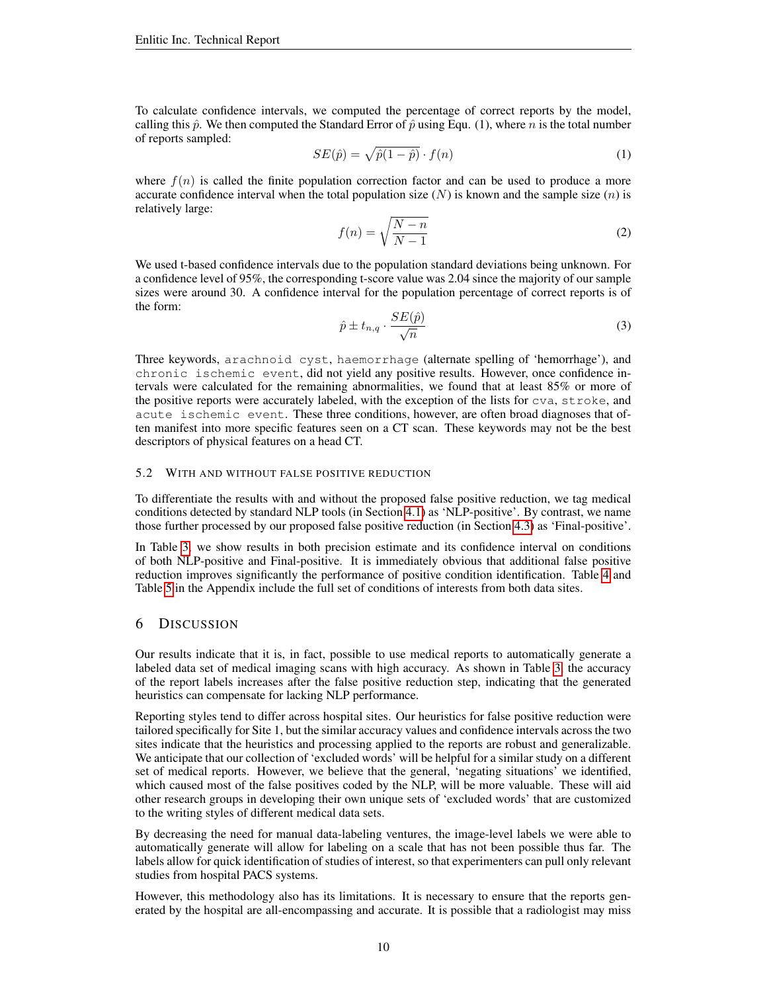To calculate confidence intervals, we computed the percentage of correct reports by the model, calling this  $\hat{p}$ . We then computed the Standard Error of  $\hat{p}$  using Equ. (1), where n is the total number of reports sampled:

$$
SE(\hat{p}) = \sqrt{\hat{p}(1-\hat{p})} \cdot f(n)
$$
\n(1)

where  $f(n)$  is called the finite population correction factor and can be used to produce a more accurate confidence interval when the total population size  $(N)$  is known and the sample size  $(n)$  is relatively large:

$$
f(n) = \sqrt{\frac{N-n}{N-1}}\tag{2}
$$

We used t-based confidence intervals due to the population standard deviations being unknown. For a confidence level of 95%, the corresponding t-score value was 2.04 since the majority of our sample sizes were around 30. A confidence interval for the population percentage of correct reports is of the form:

$$
\hat{p} \pm t_{n,q} \cdot \frac{SE(\hat{p})}{\sqrt{n}} \tag{3}
$$

Three keywords, arachnoid cyst, haemorrhage (alternate spelling of 'hemorrhage'), and chronic ischemic event, did not yield any positive results. However, once confidence intervals were calculated for the remaining abnormalities, we found that at least 85% or more of the positive reports were accurately labeled, with the exception of the lists for cva, stroke, and acute ischemic event. These three conditions, however, are often broad diagnoses that often manifest into more specific features seen on a CT scan. These keywords may not be the best descriptors of physical features on a head CT.

#### 5.2 WITH AND WITHOUT FALSE POSITIVE REDUCTION

To differentiate the results with and without the proposed false positive reduction, we tag medical conditions detected by standard NLP tools (in Section [4.1\)](#page-3-1) as 'NLP-positive'. By contrast, we name those further processed by our proposed false positive reduction (in Section [4.3\)](#page-7-0) as 'Final-positive'.

In Table [3,](#page-10-3) we show results in both precision estimate and its confidence interval on conditions of both NLP-positive and Final-positive. It is immediately obvious that additional false positive reduction improves significantly the performance of positive condition identification. Table [4](#page-13-0) and Table [5](#page-14-0) in the Appendix include the full set of conditions of interests from both data sites.

## 6 DISCUSSION

Our results indicate that it is, in fact, possible to use medical reports to automatically generate a labeled data set of medical imaging scans with high accuracy. As shown in Table [3,](#page-10-3) the accuracy of the report labels increases after the false positive reduction step, indicating that the generated heuristics can compensate for lacking NLP performance.

Reporting styles tend to differ across hospital sites. Our heuristics for false positive reduction were tailored specifically for Site 1, but the similar accuracy values and confidence intervals across the two sites indicate that the heuristics and processing applied to the reports are robust and generalizable. We anticipate that our collection of 'excluded words' will be helpful for a similar study on a different set of medical reports. However, we believe that the general, 'negating situations' we identified, which caused most of the false positives coded by the NLP, will be more valuable. These will aid other research groups in developing their own unique sets of 'excluded words' that are customized to the writing styles of different medical data sets.

By decreasing the need for manual data-labeling ventures, the image-level labels we were able to automatically generate will allow for labeling on a scale that has not been possible thus far. The labels allow for quick identification of studies of interest, so that experimenters can pull only relevant studies from hospital PACS systems.

However, this methodology also has its limitations. It is necessary to ensure that the reports generated by the hospital are all-encompassing and accurate. It is possible that a radiologist may miss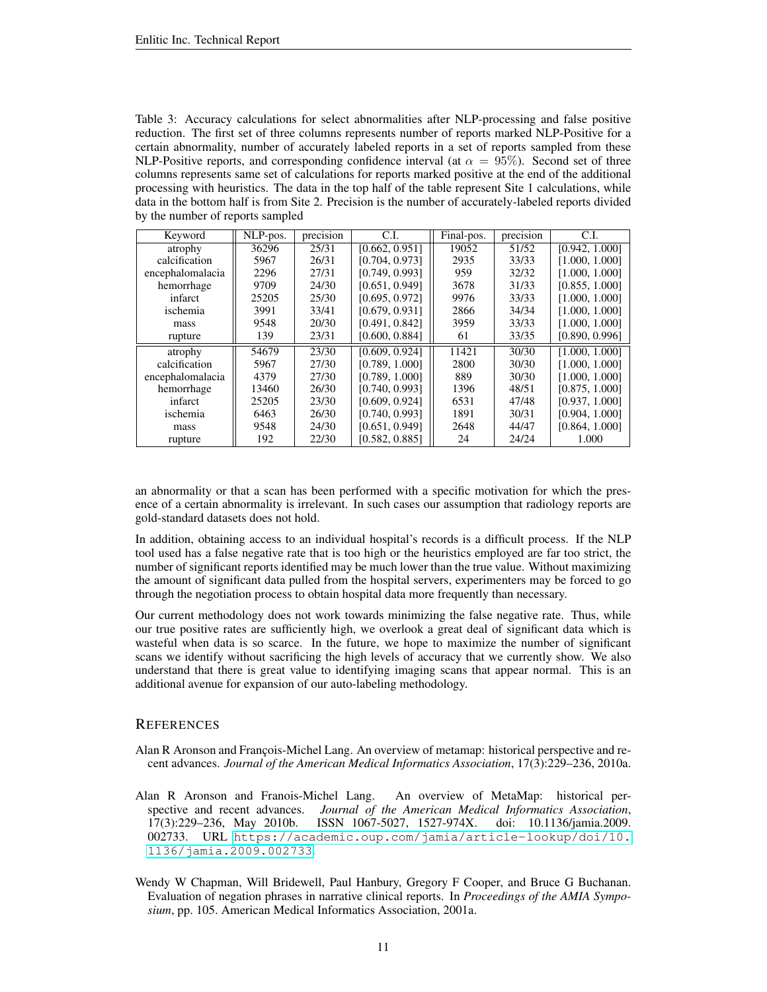<span id="page-10-3"></span>Table 3: Accuracy calculations for select abnormalities after NLP-processing and false positive reduction. The first set of three columns represents number of reports marked NLP-Positive for a certain abnormality, number of accurately labeled reports in a set of reports sampled from these NLP-Positive reports, and corresponding confidence interval (at  $\alpha = 95\%$ ). Second set of three columns represents same set of calculations for reports marked positive at the end of the additional processing with heuristics. The data in the top half of the table represent Site 1 calculations, while data in the bottom half is from Site 2. Precision is the number of accurately-labeled reports divided by the number of reports sampled

| Keyword          | NLP-pos. | precision | C.L            | Final-pos. | precision | C.L.           |
|------------------|----------|-----------|----------------|------------|-----------|----------------|
| atrophy          | 36296    | 25/31     | [0.662, 0.951] | 19052      | 51/52     | [0.942, 1.000] |
| calcification    | 5967     | 26/31     | [0.704, 0.973] | 2935       | 33/33     | [1.000, 1.000] |
| encephalomalacia | 2296     | 27/31     | [0.749, 0.993] | 959        | 32/32     | [1.000, 1.000] |
| hemorrhage       | 9709     | 24/30     | [0.651, 0.949] | 3678       | 31/33     | [0.855, 1.000] |
| infarct          | 25205    | 25/30     | [0.695, 0.972] | 9976       | 33/33     | [1.000, 1.000] |
| ischemia         | 3991     | 33/41     | [0.679, 0.931] | 2866       | 34/34     | [1.000, 1.000] |
| mass             | 9548     | 20/30     | [0.491, 0.842] | 3959       | 33/33     | [1.000, 1.000] |
| rupture          | 139      | 23/31     | [0.600, 0.884] | 61         | 33/35     | [0.890, 0.996] |
| atrophy          | 54679    | 23/30     | [0.609, 0.924] | 11421      | 30/30     | [1.000, 1.000] |
| calcification    | 5967     | 27/30     | [0.789, 1.000] | 2800       | 30/30     | [1.000, 1.000] |
| encephalomalacia | 4379     | 27/30     | [0.789, 1.000] | 889        | 30/30     | [1.000, 1.000] |
| hemorrhage       | 13460    | 26/30     | [0.740, 0.993] | 1396       | 48/51     | [0.875, 1.000] |
| infarct          | 25205    | 23/30     | [0.609, 0.924] | 6531       | 47/48     | [0.937, 1.000] |
| ischemia         | 6463     | 26/30     | [0.740, 0.993] | 1891       | 30/31     | [0.904, 1.000] |
| mass             | 9548     | 24/30     | [0.651, 0.949] | 2648       | 44/47     | [0.864, 1.000] |
| rupture          | 192      | 22/30     | [0.582, 0.885] | 24         | 24/24     | 1.000          |

an abnormality or that a scan has been performed with a specific motivation for which the presence of a certain abnormality is irrelevant. In such cases our assumption that radiology reports are gold-standard datasets does not hold.

In addition, obtaining access to an individual hospital's records is a difficult process. If the NLP tool used has a false negative rate that is too high or the heuristics employed are far too strict, the number of significant reports identified may be much lower than the true value. Without maximizing the amount of significant data pulled from the hospital servers, experimenters may be forced to go through the negotiation process to obtain hospital data more frequently than necessary.

Our current methodology does not work towards minimizing the false negative rate. Thus, while our true positive rates are sufficiently high, we overlook a great deal of significant data which is wasteful when data is so scarce. In the future, we hope to maximize the number of significant scans we identify without sacrificing the high levels of accuracy that we currently show. We also understand that there is great value to identifying imaging scans that appear normal. This is an additional avenue for expansion of our auto-labeling methodology.

# **REFERENCES**

- <span id="page-10-0"></span>Alan R Aronson and François-Michel Lang. An overview of metamap: historical perspective and recent advances. *Journal of the American Medical Informatics Association*, 17(3):229–236, 2010a.
- <span id="page-10-2"></span>Alan R Aronson and Franois-Michel Lang. An overview of MetaMap: historical perspective and recent advances. *Journal of the American Medical Informatics Association*, 17(3):229–236, May 2010b. ISSN 1067-5027, 1527-974X. doi: 10.1136/jamia.2009. 002733. URL [https://academic.oup.com/jamia/article-lookup/doi/10.](https://academic.oup.com/jamia/article-lookup/doi/10.1136/jamia.2009.002733) [1136/jamia.2009.002733](https://academic.oup.com/jamia/article-lookup/doi/10.1136/jamia.2009.002733).
- <span id="page-10-1"></span>Wendy W Chapman, Will Bridewell, Paul Hanbury, Gregory F Cooper, and Bruce G Buchanan. Evaluation of negation phrases in narrative clinical reports. In *Proceedings of the AMIA Symposium*, pp. 105. American Medical Informatics Association, 2001a.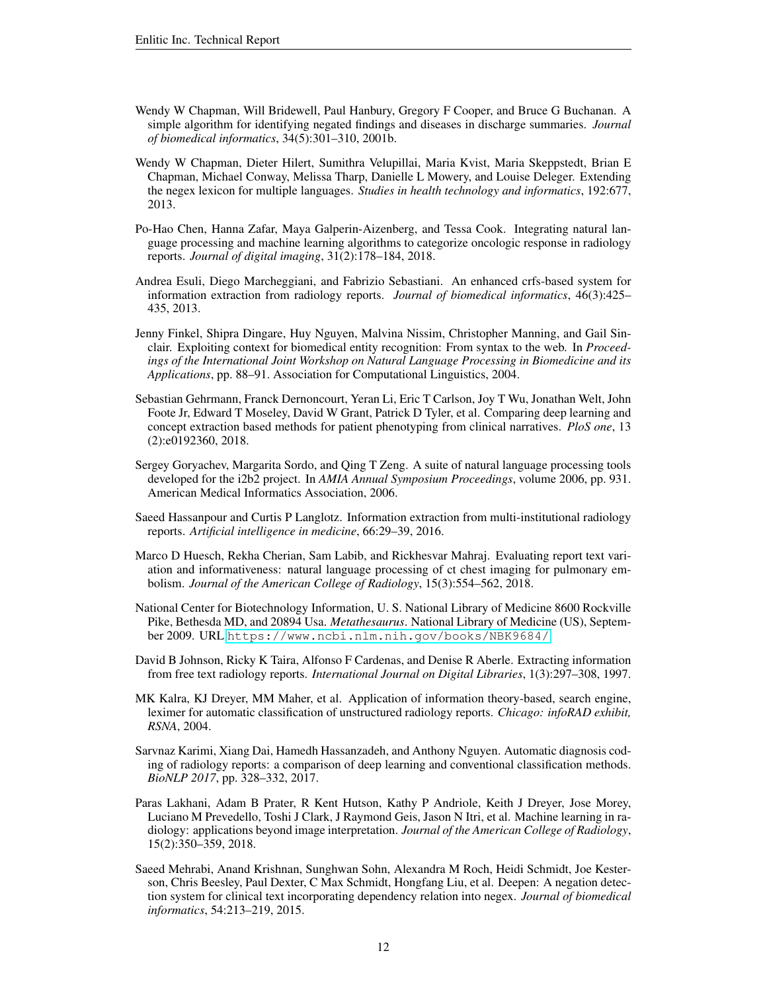- <span id="page-11-7"></span>Wendy W Chapman, Will Bridewell, Paul Hanbury, Gregory F Cooper, and Bruce G Buchanan. A simple algorithm for identifying negated findings and diseases in discharge summaries. *Journal of biomedical informatics*, 34(5):301–310, 2001b.
- <span id="page-11-8"></span>Wendy W Chapman, Dieter Hilert, Sumithra Velupillai, Maria Kvist, Maria Skeppstedt, Brian E Chapman, Michael Conway, Melissa Tharp, Danielle L Mowery, and Louise Deleger. Extending the negex lexicon for multiple languages. *Studies in health technology and informatics*, 192:677, 2013.
- <span id="page-11-11"></span>Po-Hao Chen, Hanna Zafar, Maya Galperin-Aizenberg, and Tessa Cook. Integrating natural language processing and machine learning algorithms to categorize oncologic response in radiology reports. *Journal of digital imaging*, 31(2):178–184, 2018.
- <span id="page-11-12"></span>Andrea Esuli, Diego Marcheggiani, and Fabrizio Sebastiani. An enhanced crfs-based system for information extraction from radiology reports. *Journal of biomedical informatics*, 46(3):425– 435, 2013.
- <span id="page-11-10"></span>Jenny Finkel, Shipra Dingare, Huy Nguyen, Malvina Nissim, Christopher Manning, and Gail Sinclair. Exploiting context for biomedical entity recognition: From syntax to the web. In *Proceedings of the International Joint Workshop on Natural Language Processing in Biomedicine and its Applications*, pp. 88–91. Association for Computational Linguistics, 2004.
- <span id="page-11-13"></span>Sebastian Gehrmann, Franck Dernoncourt, Yeran Li, Eric T Carlson, Joy T Wu, Jonathan Welt, John Foote Jr, Edward T Moseley, David W Grant, Patrick D Tyler, et al. Comparing deep learning and concept extraction based methods for patient phenotyping from clinical narratives. *PloS one*, 13 (2):e0192360, 2018.
- <span id="page-11-4"></span>Sergey Goryachev, Margarita Sordo, and Qing T Zeng. A suite of natural language processing tools developed for the i2b2 project. In *AMIA Annual Symposium Proceedings*, volume 2006, pp. 931. American Medical Informatics Association, 2006.
- <span id="page-11-5"></span>Saeed Hassanpour and Curtis P Langlotz. Information extraction from multi-institutional radiology reports. *Artificial intelligence in medicine*, 66:29–39, 2016.
- <span id="page-11-6"></span>Marco D Huesch, Rekha Cherian, Sam Labib, and Rickhesvar Mahraj. Evaluating report text variation and informativeness: natural language processing of ct chest imaging for pulmonary embolism. *Journal of the American College of Radiology*, 15(3):554–562, 2018.
- <span id="page-11-14"></span>National Center for Biotechnology Information, U. S. National Library of Medicine 8600 Rockville Pike, Bethesda MD, and 20894 Usa. *Metathesaurus*. National Library of Medicine (US), September 2009. URL <https://www.ncbi.nlm.nih.gov/books/NBK9684/>.
- <span id="page-11-2"></span>David B Johnson, Ricky K Taira, Alfonso F Cardenas, and Denise R Aberle. Extracting information from free text radiology reports. *International Journal on Digital Libraries*, 1(3):297–308, 1997.
- <span id="page-11-3"></span>MK Kalra, KJ Dreyer, MM Maher, et al. Application of information theory-based, search engine, leximer for automatic classification of unstructured radiology reports. *Chicago: infoRAD exhibit, RSNA*, 2004.
- <span id="page-11-0"></span>Sarvnaz Karimi, Xiang Dai, Hamedh Hassanzadeh, and Anthony Nguyen. Automatic diagnosis coding of radiology reports: a comparison of deep learning and conventional classification methods. *BioNLP 2017*, pp. 328–332, 2017.
- <span id="page-11-1"></span>Paras Lakhani, Adam B Prater, R Kent Hutson, Kathy P Andriole, Keith J Dreyer, Jose Morey, Luciano M Prevedello, Toshi J Clark, J Raymond Geis, Jason N Itri, et al. Machine learning in radiology: applications beyond image interpretation. *Journal of the American College of Radiology*, 15(2):350–359, 2018.
- <span id="page-11-9"></span>Saeed Mehrabi, Anand Krishnan, Sunghwan Sohn, Alexandra M Roch, Heidi Schmidt, Joe Kesterson, Chris Beesley, Paul Dexter, C Max Schmidt, Hongfang Liu, et al. Deepen: A negation detection system for clinical text incorporating dependency relation into negex. *Journal of biomedical informatics*, 54:213–219, 2015.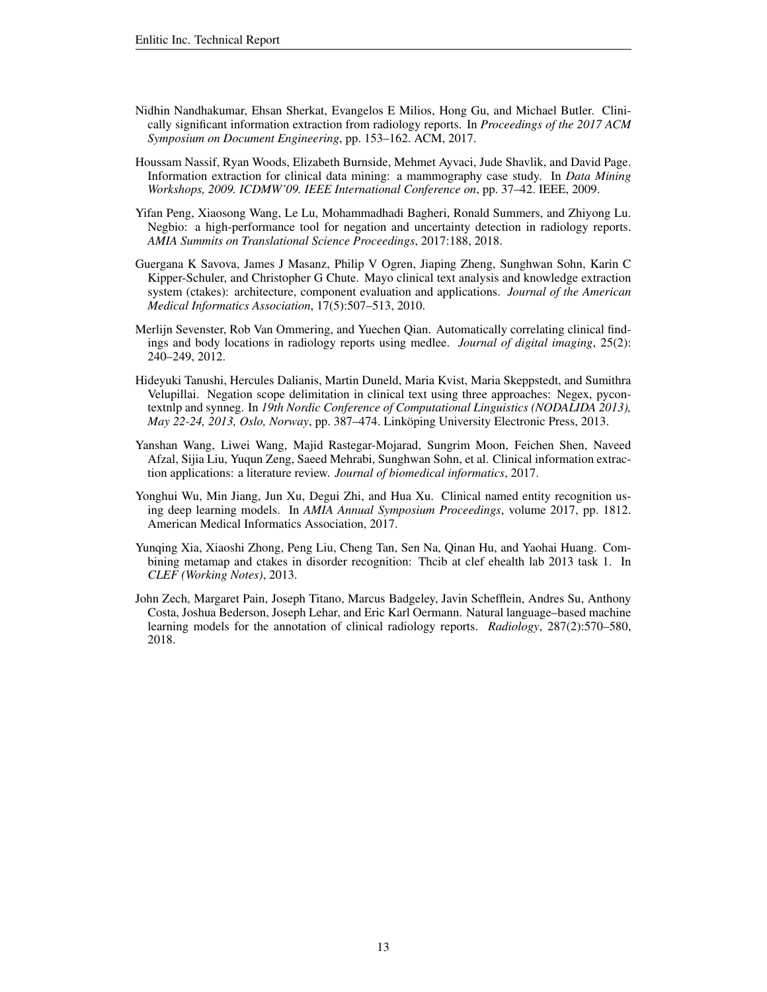- <span id="page-12-9"></span>Nidhin Nandhakumar, Ehsan Sherkat, Evangelos E Milios, Hong Gu, and Michael Butler. Clinically significant information extraction from radiology reports. In *Proceedings of the 2017 ACM Symposium on Document Engineering*, pp. 153–162. ACM, 2017.
- <span id="page-12-1"></span>Houssam Nassif, Ryan Woods, Elizabeth Burnside, Mehmet Ayvaci, Jude Shavlik, and David Page. Information extraction for clinical data mining: a mammography case study. In *Data Mining Workshops, 2009. ICDMW'09. IEEE International Conference on*, pp. 37–42. IEEE, 2009.
- <span id="page-12-5"></span>Yifan Peng, Xiaosong Wang, Le Lu, Mohammadhadi Bagheri, Ronald Summers, and Zhiyong Lu. Negbio: a high-performance tool for negation and uncertainty detection in radiology reports. *AMIA Summits on Translational Science Proceedings*, 2017:188, 2018.
- <span id="page-12-3"></span>Guergana K Savova, James J Masanz, Philip V Ogren, Jiaping Zheng, Sunghwan Sohn, Karin C Kipper-Schuler, and Christopher G Chute. Mayo clinical text analysis and knowledge extraction system (ctakes): architecture, component evaluation and applications. *Journal of the American Medical Informatics Association*, 17(5):507–513, 2010.
- <span id="page-12-2"></span>Merlijn Sevenster, Rob Van Ommering, and Yuechen Qian. Automatically correlating clinical findings and body locations in radiology reports using medlee. *Journal of digital imaging*, 25(2): 240–249, 2012.
- <span id="page-12-6"></span>Hideyuki Tanushi, Hercules Dalianis, Martin Duneld, Maria Kvist, Maria Skeppstedt, and Sumithra Velupillai. Negation scope delimitation in clinical text using three approaches: Negex, pycontextnlp and synneg. In *19th Nordic Conference of Computational Linguistics (NODALIDA 2013), May 22-24, 2013, Oslo, Norway*, pp. 387–474. Linkoping University Electronic Press, 2013. ¨
- <span id="page-12-0"></span>Yanshan Wang, Liwei Wang, Majid Rastegar-Mojarad, Sungrim Moon, Feichen Shen, Naveed Afzal, Sijia Liu, Yuqun Zeng, Saeed Mehrabi, Sunghwan Sohn, et al. Clinical information extraction applications: a literature review. *Journal of biomedical informatics*, 2017.
- <span id="page-12-7"></span>Yonghui Wu, Min Jiang, Jun Xu, Degui Zhi, and Hua Xu. Clinical named entity recognition using deep learning models. In *AMIA Annual Symposium Proceedings*, volume 2017, pp. 1812. American Medical Informatics Association, 2017.
- <span id="page-12-8"></span>Yunqing Xia, Xiaoshi Zhong, Peng Liu, Cheng Tan, Sen Na, Qinan Hu, and Yaohai Huang. Combining metamap and ctakes in disorder recognition: Thcib at clef ehealth lab 2013 task 1. In *CLEF (Working Notes)*, 2013.
- <span id="page-12-4"></span>John Zech, Margaret Pain, Joseph Titano, Marcus Badgeley, Javin Schefflein, Andres Su, Anthony Costa, Joshua Bederson, Joseph Lehar, and Eric Karl Oermann. Natural language–based machine learning models for the annotation of clinical radiology reports. *Radiology*, 287(2):570–580, 2018.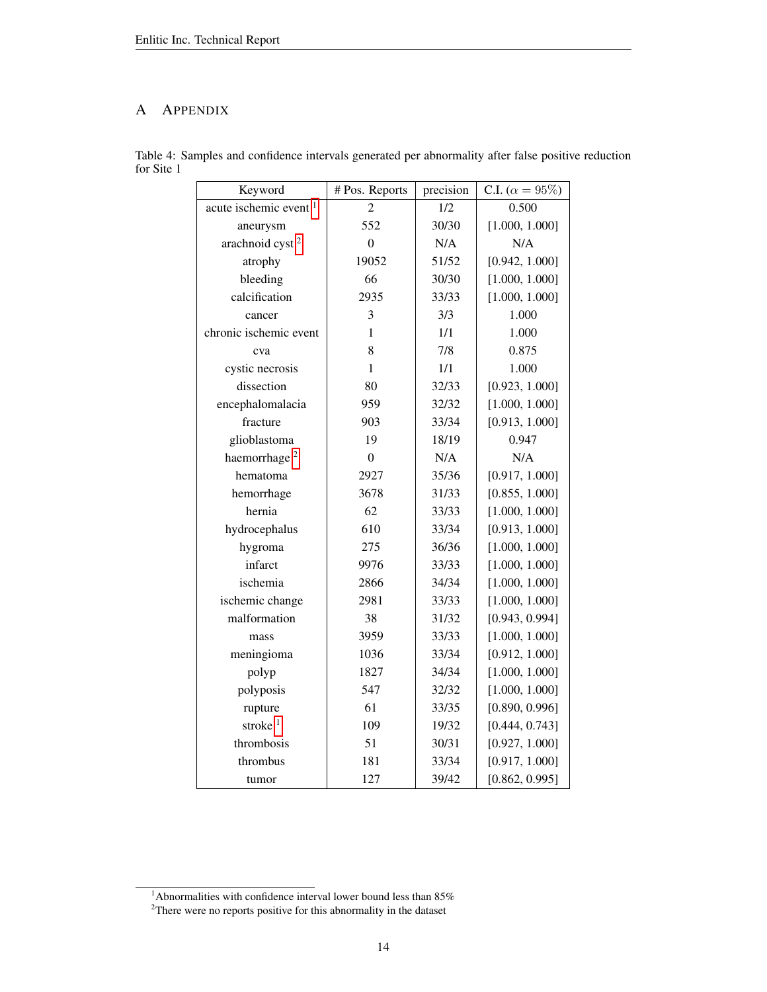# A APPENDIX

<span id="page-13-0"></span>

| Keyword                           | # Pos. Reports   | precision | C.I. ( $\alpha = 95\%$ ) |
|-----------------------------------|------------------|-----------|--------------------------|
| acute ischemic event <sup>1</sup> | $\overline{c}$   | 1/2       | 0.500                    |
| aneurysm                          | 552              | 30/30     | [1.000, 1.000]           |
| arachnoid cyst <sup>2</sup>       | $\overline{0}$   | N/A       | N/A                      |
| atrophy                           | 19052            | 51/52     | [0.942, 1.000]           |
| bleeding                          | 66               | 30/30     | [1.000, 1.000]           |
| calcification                     | 2935             | 33/33     | [1.000, 1.000]           |
| cancer                            | 3                | 3/3       | 1.000                    |
| chronic ischemic event            | $\mathbf{1}$     | 1/1       | 1.000                    |
| cva                               | 8                | 7/8       | 0.875                    |
| cystic necrosis                   | $\mathbf{1}$     | 1/1       | 1.000                    |
| dissection                        | 80               | 32/33     | [0.923, 1.000]           |
| encephalomalacia                  | 959              | 32/32     | [1.000, 1.000]           |
| fracture                          | 903              | 33/34     | [0.913, 1.000]           |
| glioblastoma                      | 19               | 18/19     | 0.947                    |
| haemorrhage <sup>2</sup>          | $\boldsymbol{0}$ | N/A       | N/A                      |
| hematoma                          | 2927             | 35/36     | [0.917, 1.000]           |
| hemorrhage                        | 3678             | 31/33     | [0.855, 1.000]           |
| hernia                            | 62               | 33/33     | [1.000, 1.000]           |
| hydrocephalus                     | 610              | 33/34     | [0.913, 1.000]           |
| hygroma                           | 275              | 36/36     | [1.000, 1.000]           |
| infarct                           | 9976             | 33/33     | [1.000, 1.000]           |
| ischemia                          | 2866             | 34/34     | [1.000, 1.000]           |
| ischemic change                   | 2981             | 33/33     | [1.000, 1.000]           |
| malformation                      | 38               | 31/32     | [0.943, 0.994]           |
| mass                              | 3959             | 33/33     | [1.000, 1.000]           |
| meningioma                        | 1036             | 33/34     | [0.912, 1.000]           |
| polyp                             | 1827             | 34/34     | [1.000, 1.000]           |
| polyposis                         | 547              | 32/32     | [1.000, 1.000]           |
| rupture                           | 61               | 33/35     | [0.890, 0.996]           |
| stroke <sup>1</sup>               | 109              | 19/32     | [0.444, 0.743]           |
| thrombosis                        | 51               | 30/31     | [0.927, 1.000]           |
| thrombus                          | 181              | 33/34     | [0.917, 1.000]           |
| tumor                             | 127              | 39/42     | [0.862, 0.995]           |

Table 4: Samples and confidence intervals generated per abnormality after false positive reduction for Site 1

<sup>&</sup>lt;sup>1</sup>Abnormalities with confidence interval lower bound less than  $85\%$ 

 $2$ There were no reports positive for this abnormality in the dataset